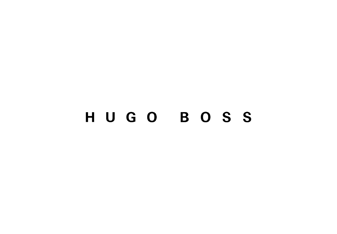# HUGO BOSS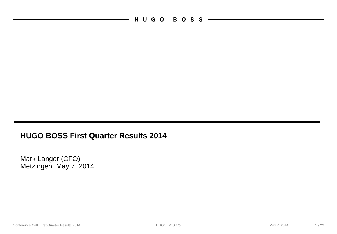HUGO BOSS

### **HUGO BOSS First Quarter Results 2014**

Mark Langer (CFO) Metzingen, May 7, 2014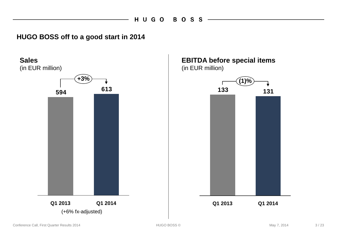### **HUGO BOSS off to a good start in 2014**

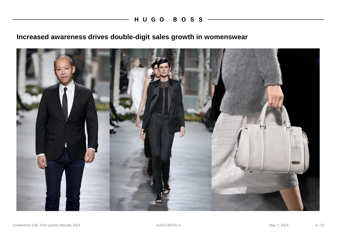## **Increased awareness drives double-digit sales growth in womenswear**

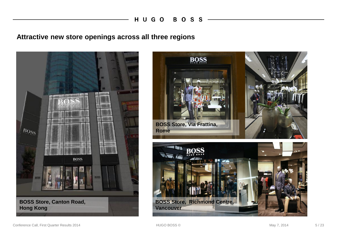#### **Attractive new store openings across all three regions**



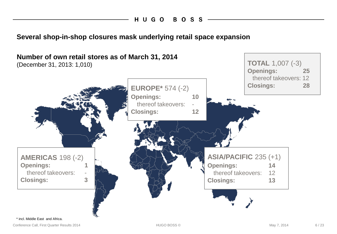**Several shop-in-shop closures mask underlying retail space expansion**



Conference Call, First Quarter Results 2014 **May 7, 2014** HUGO BOSS © May 7, 2014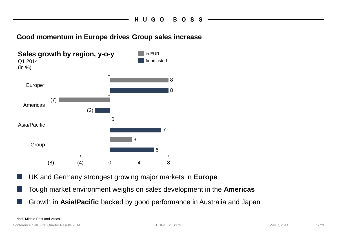#### **Good momentum in Europe drives Group sales increase**



- UK and Germany strongest growing major markets in Europe
- Tough market environment weighs on sales development in the **Americas**
	- Growth in **Asia/Pacific** backed by good performance in Australia and Japan

\*incl. Middle East and Africa.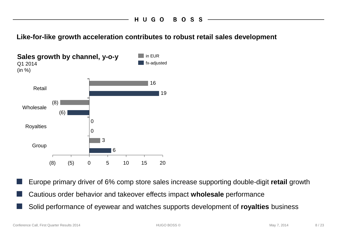**Like-for-like growth acceleration contributes to robust retail sales development**



Europe primary driver of 6% comp store sales increase supporting double-digit **retail** growth ■ Cautious order behavior and takeover effects impact **wholesale** performance Solid performance of eyewear and watches supports development of **royalties** business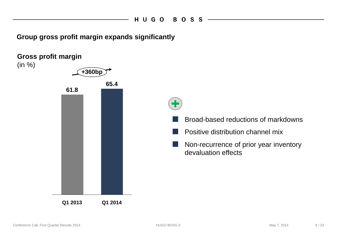**Group gross profit margin expands significantly**

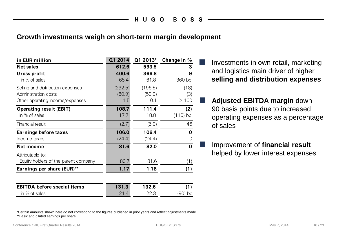#### **Growth investments weigh on short-term margin development**

| in EUR million                       | Q1 2014 | Q1 2013* | Change in % |
|--------------------------------------|---------|----------|-------------|
| <b>Net sales</b>                     | 612.6   | 593.5    | 3           |
| Gross profit                         | 400.6   | 366.8    | 9           |
| in % of sales                        | 65.4    | 61.8     | 360 bp      |
| Selling and distribution expenses    | (232.5) | (196.5)  | (18)        |
| Administration costs                 | (60.9)  | (59.0)   | (3)         |
| Other operating income/expenses      | 1.5     | 0.1      | >100        |
| <b>Operating result (EBIT)</b>       | 108.7   | 111.4    | (2)         |
| in % of sales                        | 17.7    | 18.8     | $(110)$ bp  |
| Financial result                     | (2.7)   | (5.0)    | 46          |
| Earnings before taxes                | 106.0   | 106.4    | $\mathbf 0$ |
| Income taxes                         | (24.4)  | (24.4)   | 0           |
| Net income                           | 81.6    | 82.0     | $\mathbf 0$ |
| Attributable to:                     |         |          |             |
| Equity holders of the parent company | 80.7    | 81.6     | (1)         |
| Earnings per share (EUR)**           | 1.17    | 1.18     | (1)         |
|                                      |         |          |             |
| <b>EBITDA</b> before special items   | 131.3   | 132.6    | (1)         |
| in % of sales                        | 21.4    | 22.3     | 90) bp      |

■ Investments in own retail, marketing and logistics main driver of higher **selling and distribution expenses**

■ **Adjusted EBITDA margin** down 90 basis points due to increased operating expenses as a percentage of sales

Improvement of **financial result** helped by lower interest expenses

\*Certain amounts shown here do not correspond to the figures published in prior years and reflect adjustments made. \*\*Basic and diluted earnings per share.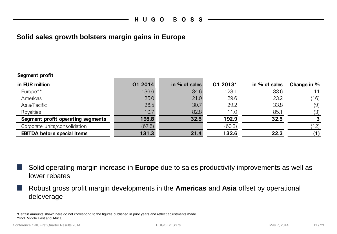#### **Solid sales growth bolsters margin gains in Europe**

#### **Segment profit**

| in EUR million                     | Q1 2014 | in $%$ of sales | Q1 2013* | in $%$ of sales | Change in $%$ |
|------------------------------------|---------|-----------------|----------|-----------------|---------------|
| Europe**                           | 136.6   | 34.6            | 123.1    | 33.6            |               |
| Americas                           | 25.0    | 21.0            | 29.6     | 23.2            | (16)          |
| Asia/Pacific                       | 26.5    | 30.7            | 29.2     | 33.8            | (9)           |
| Royalties                          | 10.7    | 82.8            | 11.0     | 85.1            | (3)           |
| Segment profit operating segments  | 198.8   | 32.5            | 192.9    | 32.5            | 3             |
| Corporate units/consolidation      | (67.5)  |                 | (60.3)   |                 | 12)           |
| <b>EBITDA before special items</b> | 131.3   | 21.4            | 132.6    | 22.3            |               |

Solid operating margin increase in **Europe** due to sales productivity improvements as well as lower rebates

■ Robust gross profit margin developments in the **Americas** and **Asia** offset by operational deleverage

\*Certain amounts shown here do not correspond to the figures published in prior years and reflect adjustments made. \*\*Incl. Middle East and Africa.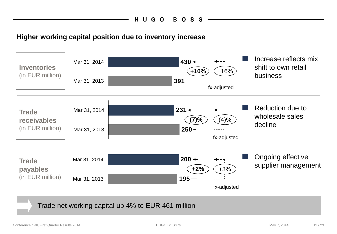#### **Higher working capital position due to inventory increase**



Trade net working capital up 4% to EUR 461 million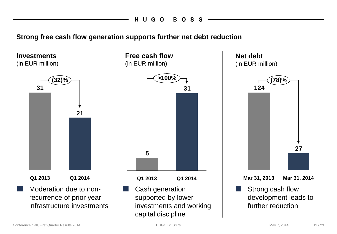**Strong free cash flow generation supports further net debt reduction**

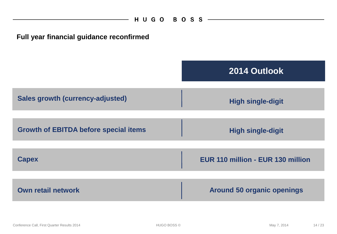$\overline{\phantom{a}}$ 

| Full year financial guidance reconfirmed     |                                   |
|----------------------------------------------|-----------------------------------|
|                                              | 2014 Outlook                      |
| <b>Sales growth (currency-adjusted)</b>      | <b>High single-digit</b>          |
| <b>Growth of EBITDA before special items</b> | <b>High single-digit</b>          |
| <b>Capex</b>                                 | EUR 110 million - EUR 130 million |
| <b>Own retail network</b>                    | <b>Around 50 organic openings</b> |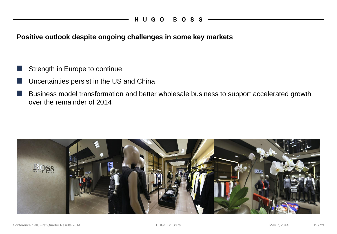**Positive outlook despite ongoing challenges in some key markets**

- Strength in Europe to continue
- Uncertainties persist in the US and China
- Business model transformation and better wholesale business to support accelerated growth over the remainder of 2014

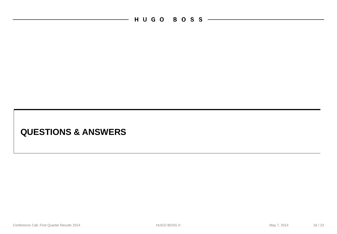H U G O B O S S ————————

 $\overline{\phantom{a}}$ 

# **QUESTIONS & ANSWERS**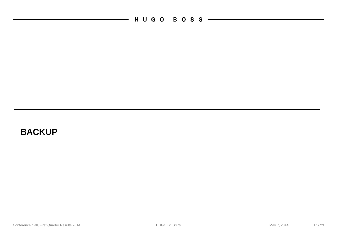— HUGO BOSS —————————

# **BACKUP**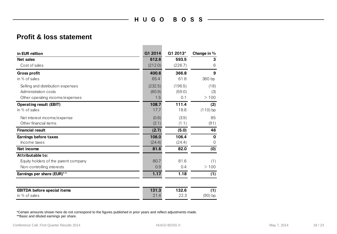**Contract Contract Contract** 

#### **Profit & loss statement**

| in EUR million                       | Q1 2014 | Q1 2013* | Change in % |
|--------------------------------------|---------|----------|-------------|
| <b>Net sales</b>                     | 612.6   | 593.5    | 3           |
| Cost of sales                        | (212.0) | (226.7)  | 6           |
| <b>Gross profit</b>                  | 400.6   | 366.8    | 9           |
| in % of sales                        | 65.4    | 61.8     | 360 bp      |
| Selling and distribution expenses    | (232.5) | (196.5)  | (18)        |
| Administration costs                 | (60.9)  | (59.0)   | (3)         |
| Other operating income/expenses      | 1.5     | 0.1      | >100        |
| <b>Operating result (EBIT)</b>       | 108.7   | 111.4    | (2)         |
| in $%$ of sales                      | 17.7    | 18.8     | $(110)$ bp  |
| Net interest income/expense          | (0.6)   | (3.9)    | 85          |
| Other financial items                | (2.1)   | (1.1)    | (91)        |
| <b>Financial result</b>              | (2.7)   | (5.0)    | 46          |
| <b>Earnings before taxes</b>         | 106.0   | 106.4    | $\mathbf 0$ |
| Income taxes                         | (24.4)  | (24.4)   | $\Omega$    |
| Net income                           | 81.6    | 82.0     | (0)         |
| Attributable to:                     |         |          |             |
| Equity holders of the parent company | 80.7    | 81.6     | (1)         |
| Non-controlling interests            | 0.9     | 0.4      | >100        |
| Earnings per share (EUR)**           | 1.17    | 1.18     | (1)         |
| <b>EBITDA before special items</b>   | 131.3   | 132.6    | (1)         |
| in % of sales                        | 21.4    | 22.3     | (90) bp     |

\*Certain amounts shown here do not correspond to the figures published in prior years and reflect adjustments made.

\*\*Basic and diluted earnings per share.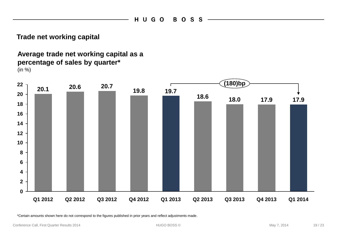#### **Trade net working capital**

#### **Average trade net working capital as a percentage of sales by quarter\*** (in %)



\*Certain amounts shown here do not correspond to the figures published in prior years and reflect adjustments made.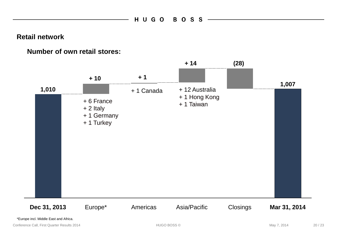**Retail network**

#### **Number of own retail stores:**

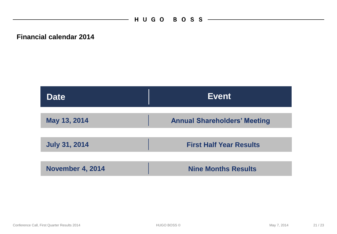**Financial calendar 2014**

| <b>Date</b>             | <b>Event</b>                        |
|-------------------------|-------------------------------------|
|                         |                                     |
| May 13, 2014            | <b>Annual Shareholders' Meeting</b> |
|                         |                                     |
| <b>July 31, 2014</b>    | <b>First Half Year Results</b>      |
|                         |                                     |
| <b>November 4, 2014</b> | <b>Nine Months Results</b>          |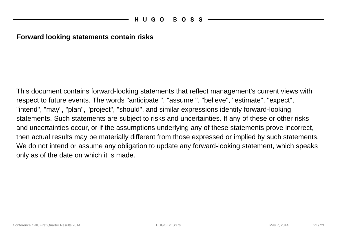#### **Forward looking statements contain risks**

This document contains forward-looking statements that reflect management's current views with respect to future events. The words "anticipate ", "assume ", "believe", "estimate", "expect", "intend", "may", "plan", "project", "should", and similar expressions identify forward-looking statements. Such statements are subject to risks and uncertainties. If any of these or other risks and uncertainties occur, or if the assumptions underlying any of these statements prove incorrect, then actual results may be materially different from those expressed or implied by such statements. We do not intend or assume any obligation to update any forward-looking statement, which speaks only as of the date on which it is made.